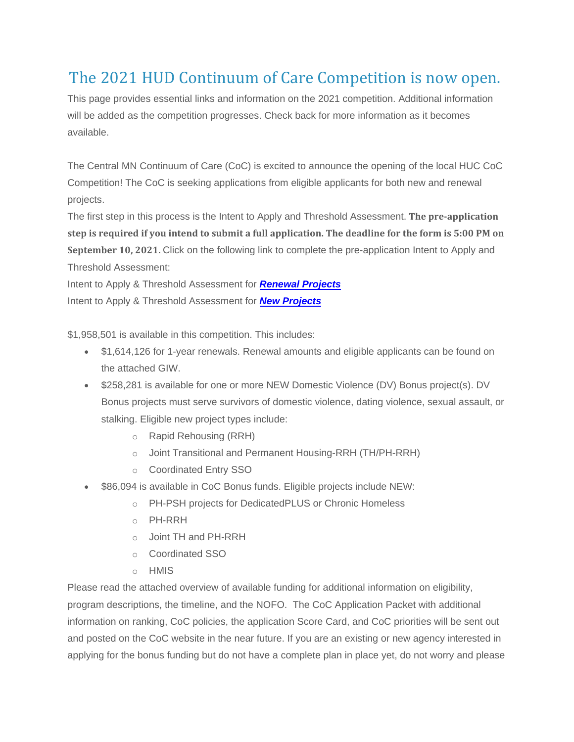## The 2021 HUD Continuum of Care Competition is now open.

This page provides essential links and information on the 2021 competition. Additional information will be added as the competition progresses. Check back for more information as it becomes available.

The Central MN Continuum of Care (CoC) is excited to announce the opening of the local HUC CoC Competition! The CoC is seeking applications from eligible applicants for both new and renewal projects.

The first step in this process is the Intent to Apply and Threshold Assessment. **The pre-application** step is required if you intend to submit a full application. The deadline for the form is 5:00 PM on **September 10, 2021.** Click on the following link to complete the pre-application Intent to Apply and Threshold Assessment:

Intent to Apply & Threshold Assessment for *[Renewal Projects](https://85311cb8-1469-4db4-968f-41952de088a3.filesusr.com/ugd/ce6e3b_46878388a6864257a9095392a73c6c39.pdf)* Intent to Apply & Threshold Assessment for *[New Projects](https://85311cb8-1469-4db4-968f-41952de088a3.filesusr.com/ugd/ce6e3b_ccc9900c483c4ea29a51c74bfcec0b25.pdf)*

\$1,958,501 is available in this competition. This includes:

- \$1,614,126 for 1-year renewals. Renewal amounts and eligible applicants can be found on the attached GIW.
- \$258,281 is available for one or more NEW Domestic Violence (DV) Bonus project(s). DV Bonus projects must serve survivors of domestic violence, dating violence, sexual assault, or stalking. Eligible new project types include:
	- o Rapid Rehousing (RRH)
	- o Joint Transitional and Permanent Housing-RRH (TH/PH-RRH)
	- o Coordinated Entry SSO
- \$86,094 is available in CoC Bonus funds. Eligible projects include NEW:
	- o PH-PSH projects for DedicatedPLUS or Chronic Homeless
	- o PH-RRH
	- o Joint TH and PH-RRH
	- o Coordinated SSO
	- o HMIS

Please read the attached overview of available funding for additional information on eligibility, program descriptions, the timeline, and the NOFO. The CoC Application Packet with additional information on ranking, CoC policies, the application Score Card, and CoC priorities will be sent out and posted on the CoC website in the near future. If you are an existing or new agency interested in applying for the bonus funding but do not have a complete plan in place yet, do not worry and please